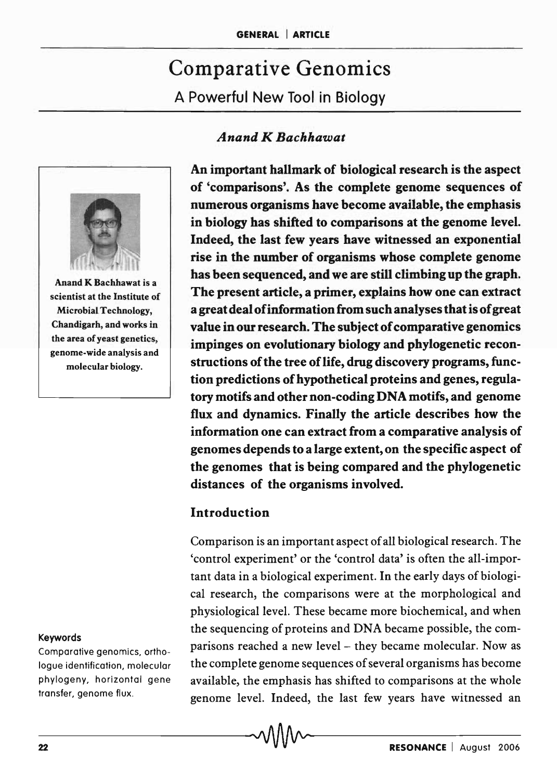# Comparative Genomics A Powerful New Tool in Biology

#### *Anand K Bachhawat*



Anand K Bachhawat is a scientist at the Institute of Microbial Technology, Chandigarh, and works in the area of yeast genetics, genome-wide analysis and molecular biology.

#### Keywords

Comparative genomics. orthologue identification. molecular phylogeny. horizontal gene transfer. genome flux.

An important hallmark of biological research is the aspect of 'comparisons'. As the complete genome sequences of numerous organisms have become available, the emphasis in biology has shifted to comparisons at the genome level. Indeed, the last few years have witnessed an exponential rise in the number of organisms whose complete genome has been sequenced, and we are still climbing up the graph. The present article, a primer, explains how one can extract a great deal ofinformation from such analyses that is of great value in our research. The subject of comparative genomics impinges on evolutionary biology and phylogenetic reconstructions of the tree of life, drug discovery programs, function predictions of hypothetical proteins and genes, regulatory motifs and other non-coding DNA motifs, and genome flux and dynamics. Finally the article describes how the information one can extract from a comparative analysis of genomes depends to a large extent, on the specific aspect of the genomes that is being compared and the phylogenetic distances of the organisms involved.

#### Introduction

Comparison is an important aspect of all biological research. The 'control experiment' or the 'control data' is often the all-important data in a biological experiment. In the early days of biological research, the comparisons were at the morphological and physiological level. These became more biochemical, and when the sequencing of proteins and DNA became possible, the comparisons reached a new level- they became molecular. Now as the complete genome sequences of several organisms has become available, the emphasis has shifted to comparisons at the whole genome level. Indeed, the last few years have witnessed an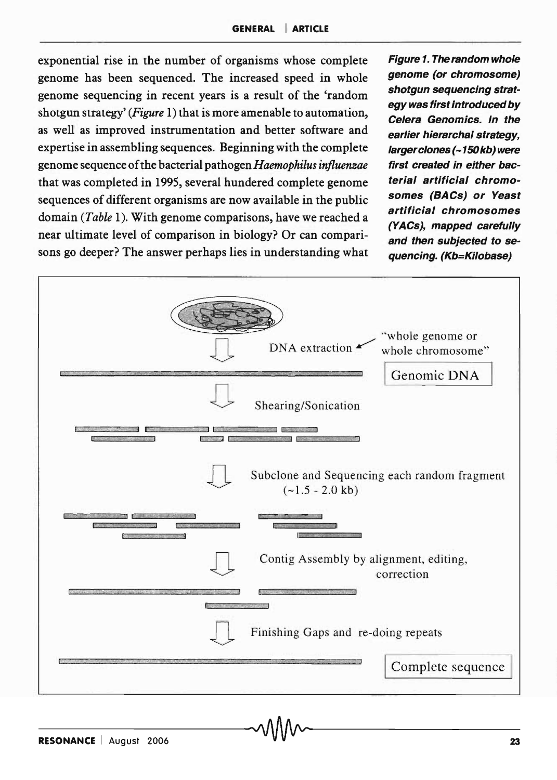exponential rise in the number of organisms whose complete genome has been sequenced. The increased speed in whole genome sequencing in recent years is a result of the 'random shotgun strategy' *(Figure* 1) that is more amenable to automation, as well as improved instrumentation and better software and expertise in assembling sequences. Beginning with the complete genome sequence of the bacterial pathogen *Haemophilus influenzae*  that was completed in 1995, several hundered complete genome sequences of different organisms are now available in the public domain *(Table* 1). With genome comparisons, have we reached a near ultimate level of comparison in biology? Or can comparisons go deeper? The answer perhaps lies in understanding what

Figure 1. The random whole genome (or chromosome) shotgun sequencing strategy was first introduced by Celera Genomics. In the earlier hierarchal strategy, larger clones (~150 kb) were first created in either bacterial artificial chromosomes (SACs) or Yeast artificial chromosomes (YACs), mapped carefully and then subjected to sequencing. (Kb=Kilobase)

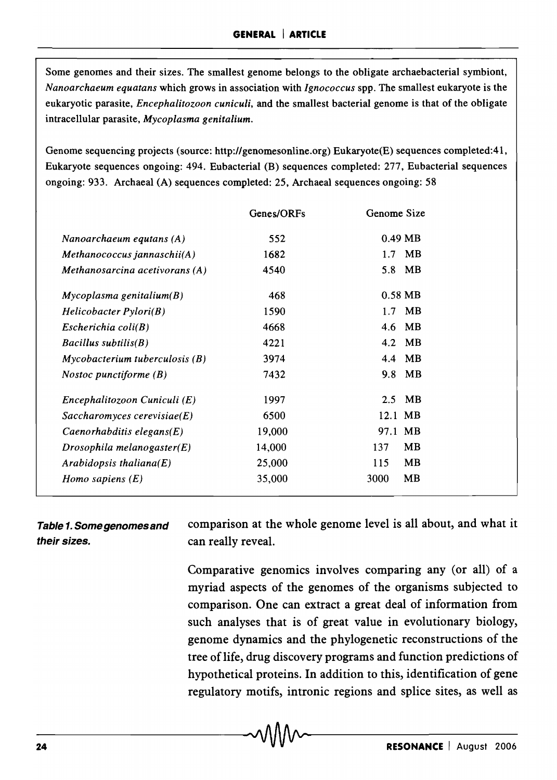Some genomes and their sizes. The smallest genome belongs to the obligate archaebacterial symbiont, *Nanoarchaeum equatans* which grows in association with */gnococcus* spp. The smallest eukaryote is the eukaryotic parasite, *Encephalitozoon cuniculi,* and the smallest bacterial genome is that of the obligate intracellular parasite, *Mycoplasma genitalium.* 

Genome sequencing projects (source: http://genomesonline.org) Eukaryote(E) sequences completed:41, Eukaryote sequences ongoing: 494. Eubacterial (B) sequences completed: 277, Eubacterial sequences ongoing: 933. Archaeal (A) sequences completed: 25, Archaeal sequences ongoing: 58

|                                  | Genes/ORFs | Genome Size            |
|----------------------------------|------------|------------------------|
| Nanoarchaeum equians $(A)$       | 552        | $0.49$ MB              |
| Methanococcus jannaschii(A)      | 1682       | MB<br>1.7 <sub>z</sub> |
| Methanosarcina acetivorans (A)   | 4540       | 5.8 MB                 |
| $Mycoplasma$ genitalium $(B)$    | 468        | $0.58$ MB              |
| Helicobacter Pylori(B)           | 1590       | $1.7$ MB               |
| Escherichia coli(B)              | 4668       | 4.6 MB                 |
| Bacillus subtilis(B)             | 4221       | 4.2 MB                 |
| Mycobacterium tuberculosis (B)   | 3974       | 4.4 MB                 |
| Nostoc punctiforme $(B)$         | 7432       | 9.8<br>МB              |
| Encephalitozoon Cuniculi (E)     | 1997       | MВ<br>2.5              |
| $Saccharomyces$ cerevisiae $(E)$ | 6500       | 12.1 MB                |
| Caenorhabditis elegans $(E)$     | 19,000     | 97.1 MB                |
| $Drosophila$ melanogaster(E)     | 14,000     | MВ<br>137              |
| Arabidopsis thaliana $(E)$       | 25,000     | MВ<br>115              |
| Homo sapiens $(E)$               | 35,000     | MВ<br>3000             |

#### Table 1. Somegenomesand their sizes.

comparison at the whole genome level is all about, and what it can really reveal.

Comparative genomics involves comparing any (or all) of a myriad aspects of the genomes of the organisms subjected to comparison. One can extract a great deal of information from such analyses that is of great value in evolutionary biology, genome dynamics and the phylogenetic reconstructions of the tree of life, drug discovery programs and function predictions of hypothetical proteins. In addition to this, identification of gene regulatory motifs, intronic regions and splice sites, as well as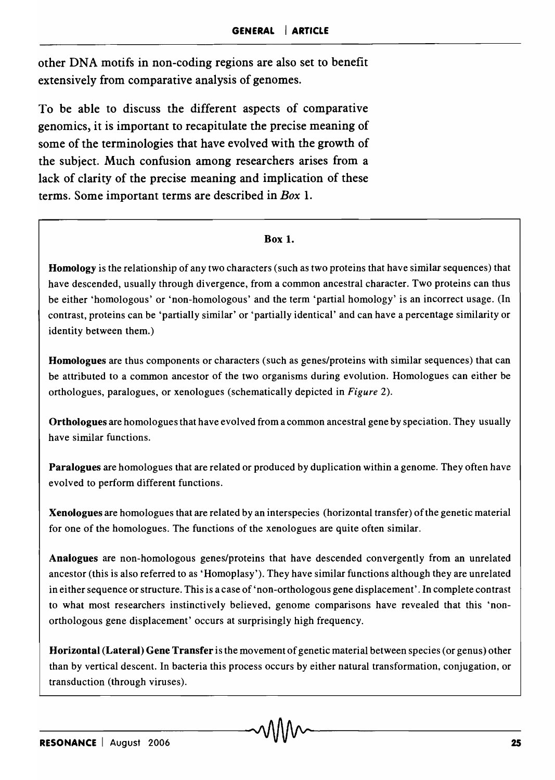other DNA motifs in non-coding regions are also set to benefit extensively from comparative analysis of genomes.

To be able to discuss the different aspects of comparative genomics, it is important to recapitulate the precise meaning of some of the terminologies that have evolved with the growth of the subject. Much confusion among researchers arises from a lack of clarity of the precise meaning and implication of these terms. Some important terms are described in *Box* 1.

#### Box 1.

Homology is the relationship of any two characters (such as two proteins that have similar sequences) that have descended, usually through divergence, from a common ancestral character. Two proteins can thus be either 'homologous' or 'non-homologous' and the term 'partial homology' is an incorrect usage. (In contrast, proteins can be 'partially similar' or 'partially identical' and can have a percentage similarity or identity between them.)

Homologues are thus components or characters (such as genes/proteins with similar sequences) that can be attributed to a common ancestor of the two organisms during evolution. Homologues can either be orthologues, paralogues, or xenologues (schematically depicted in *Figure 2).* 

Orthologues are homologues that have evolved from a common ancestral gene by speciation. They usually have similar functions.

Paralogues are homologues that are related or produced by duplication within a genome. They often have evolved to perform different functions.

Xenologues are homologues that are related by an interspecies (horizontal transfer) of the genetic material for one of the homologues. The functions of the xenologues are quite often similar.

Analogues are non-homologous genes/proteins that have descended convergently from an unrelated ancestor (this is also referred to as 'Homoplasy'). They have similar functions although they are unrelated in either sequence or structure. This is a case of 'non-orthologous gene displacement'. In complete contrast to what most researchers instinctively believed, genome comparisons have revealed that this 'nonorthologous gene displacement' occurs at surprisingly high frequency.

Horizontal (Lateral) Gene Transfer is the movement of genetic material between species (or genus) other than by vertical descent. In bacteria this process occurs by either natural transformation, conjugation, or transduction (through viruses).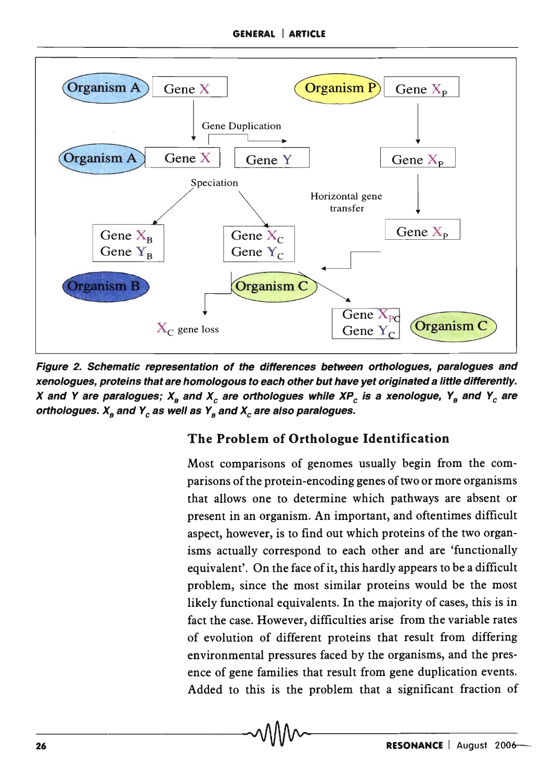

Figure 2. Schematic representation of the differences between orthologues, paralogues and xenologues, proteins that are homologous to each other but have yet originated a little differently. *X* and *Y* are paralogues;  $X_s$  and  $X_c$  are orthologues while XP<sub>c</sub> is a xenologue,  $Y_s$  and  $Y_c$  are orthologues.  $X_{\rm s}$  and  $Y_{\rm c}$  as well as  $Y_{\rm s}$  and  $X_{\rm c}$  are also paralogues.

### The Problem of Orthologue Identification

Most comparisons of genomes usually begin from the comparisons of the protein-encoding genes of two or more organisms that allows one to determine which pathways are absent or present in an organism. An important, and oftentimes difficult aspect, however, is to find out which proteins of the two organisms actually correspond to each other and are 'functionally equivalent'. On the face of it, this hardly appears to be a difficult problem, since the most similar proteins would be the most likely functional equivalents. In the majority of cases, this is in fact the case. However, difficulties arise from the variable rates of evolution of different proteins that result from differing environmental pressures faced by the organisms, and the presence of gene families that result from gene duplication events. Added to this is the problem that a significant fraction of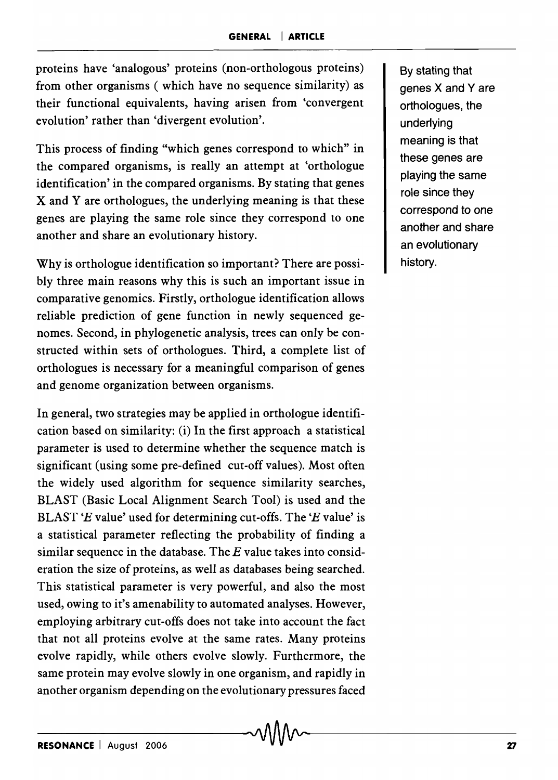proteins have 'analogous' proteins (non-orthologous proteins) from other organisms ( which have no sequence similarity) as their functional equivalents, having arisen from 'convergent evolution' rather than 'divergent evolution'.

This process of finding "which genes correspond to which" in the compared organisms, is really an attempt at 'orthologue identification' in the compared organisms. By stating that genes X and Y are orthologues, the underlying meaning is that these genes are playing the same role since they correspond to one another and share an evolutionary history.

Why is orthologue identification so important? There are possibly three main reasons why this is such an important issue in comparative genomics. Firstly, orthologue identification allows reliable prediction of gene function in newly sequenced genomes. Second, in phylogenetic analysis, trees can only be constructed within sets of orthologues. Third, a complete list of orthologues is necessary for a meaningful comparison of genes and genome organization between organisms.

In general, two strategies may be applied in orthologue identification based on similarity: (i) In the first approach a statistical parameter is used to determine whether the sequence match is significant (using some pre-defined cut-off values). Most often the widely used algorithm for sequence similarity searches, BLAST (Basic Local Alignment Search Tool) is used and the BLAST *'E* value' used for determining cut-offs. The *'E* value' is a statistical parameter reflecting the probability of finding a similar sequence in the database. The  $E$  value takes into consideration the size of proteins, as well as databases being searched. This statistical parameter is very powerful, and also the most used, owing to it's amenability to automated analyses. However, employing arbitrary cut-offs does not take into account the fact that not all proteins evolve at the same rates. Many proteins evolve rapidly, while others evolve slowly. Furthermore, the same protein may evolve slowly in one organism, and rapidly in another organism depending on the evolutionary pressures faced By stating that genes X and Y are orthologues, the underlying meaning is that these genes are playing the same role since they correspond to one another and share an evolutionary history.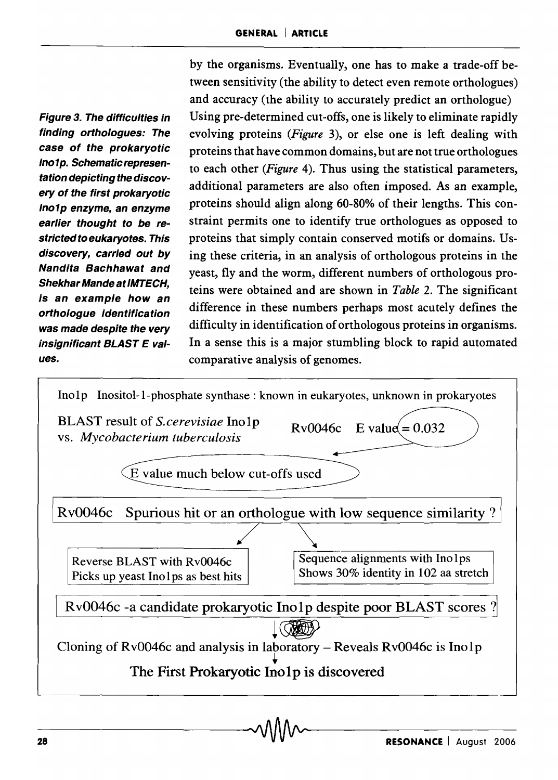Figure 3. The difficulties in finding orthologues: The case of the prokaryotic Ino1p. Schematic representation depicting the discovery of the first prokaryotic In01p enzyme, an enzyme earlier thought to be restricted to eukaryotes. This discovery, carried out by Nandita Bachhawat and Shekhar Mande at IMTECH, is an example how an orthologue identification was made despite the very insignificant BLAST E values.

by the organisms. Eventually, one has to make a trade-off between sensitivity (the ability to detect even remote orthologues) and accuracy (the ability to accurately predict an orthologue) Using pre-determined cut-offs, one is likely to eliminate rapidly evolving proteins *(Figure* 3), or else one is left dealing with proteins that have common domains, but are not true orthologues to each other *(Figure* 4). Thus using the statistical parameters, additional parameters are also often imposed. As an example, proteins should align along 60-80% of their lengths. This constraint permits one to identify true orthologues as opposed to proteins that simply contain conserved motifs or domains. Using these criteria, in an analysis of orthologous proteins in the yeast, fly and the worm, different numbers of orthologous proteins were obtained and are shown in *Table* 2. The significant difference in these numbers perhaps most acutely defines the difficulty in identification of orthologous proteins in organisms. In a sense this is a major stumbling block to rapid automated comparative analysis of genomes.

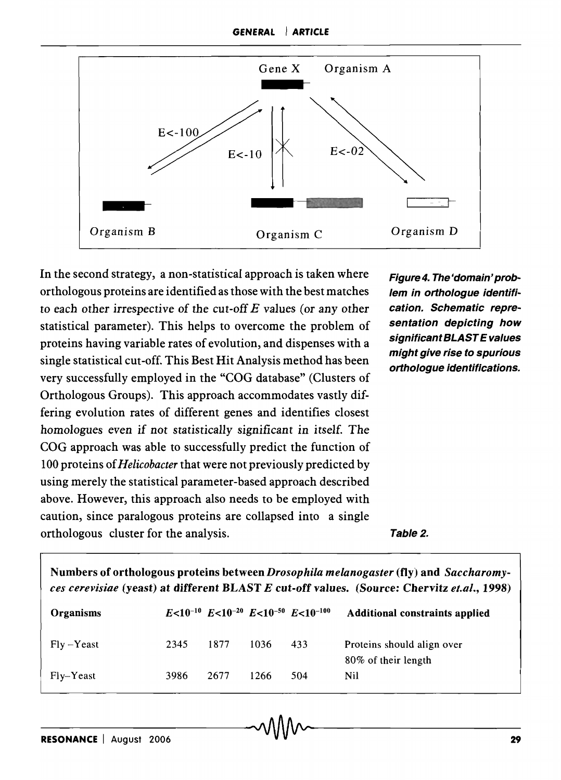



In the second strategy, a non-statistical approach is taken where orthologous proteins are identified as those with the best matches to each other irrespective of the cut-off  $E$  values (or any other statistical parameter). This helps to overcome the problem of proteins having variable rates of evolution, and dispenses with a single statistical cut-off. This Best Hit Analysis method has been very successfully employed in the "COG database" (Clusters of Orthologous Groups). This approach accommodates vastly differing evolution rates of different genes and identifies closest homologues even if not statistically significant *in* itself. The COG approach was able to successfully predict the function of 100 proteins of *Helicobacter* that were not previously predicted by using merely the statistical parameter-based approach described above. However, this approach also needs to be employed with caution, since paralogous proteins are collapsed into a single orthologous cluster for the analysis.

Figure4. The 'domain' problem in orthologue identification. Schematic representation depicting how significant BLAST E values might give rise to spurious orthologue identifications.

Table 2.

Numbers of orthologous proteins between *Drosophila melanogaster* (fly) and *Saccharomyces cerevisiae* (yeast) at different BLAST *E* cut-off values. (Source: Chervitz *et.ai., 1998)* 

| Organisms     |      |      |      | $E < 10^{-10}$ $E < 10^{-20}$ $E < 10^{-50}$ $E < 10^{-100}$ | <b>Additional constraints applied</b>             |
|---------------|------|------|------|--------------------------------------------------------------|---------------------------------------------------|
| $Fly - Yeast$ | 2345 | 1877 | 1036 | 433                                                          | Proteins should align over<br>80% of their length |
| Fly-Yeast     | 3986 | 2677 | 1266 | 504                                                          | Nil                                               |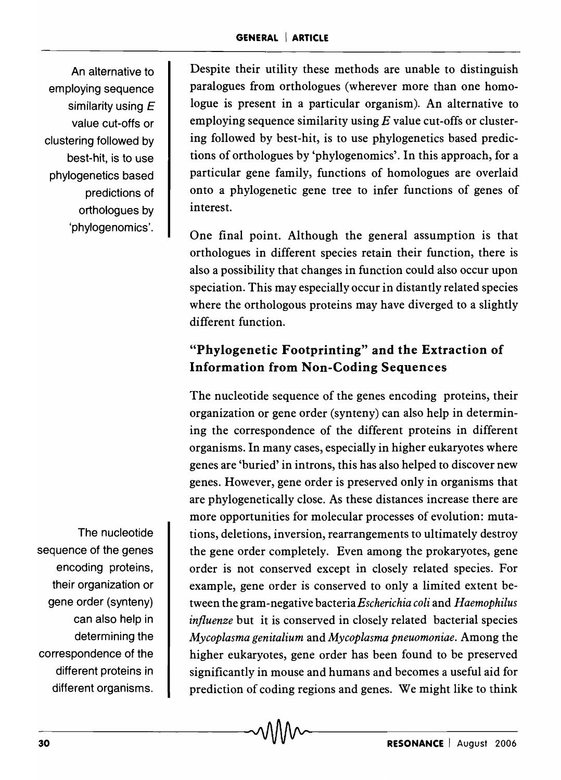An alternative to employing sequence similarity using E value cut-offs or clustering followed by best-hit, is to use phylogenetics based predictions of orthologues by 'phylogenomics'.

Despite their utility these methods are unable to distinguish paralogues from orthologues (wherever more than one homologue is present in a particular organism). An alternative to employing sequence similarity using *E* value cut-offs or clustering followed by best-hit, is to use phylogenetics based predictions of orthologues by 'phylogenomics'. In this approach, for a particular gene family, functions of homologues are overlaid onto a phylogenetic gene tree to infer functions of genes of interest.

One final point. Although the general assumption is that orthologues in different species retain their function, there is also a possibility that changes in function could also occur upon speciation. This may especially occur in distantly related species where the orthologous proteins may have diverged to a slightly different function.

# "Phylogenetic Footprinting" and the Extraction of Information from Non-Coding Sequences

The nucleotide sequence of the genes encoding proteins, their organization or gene order (synteny) can also help in determining the correspondence of the different proteins in different organisms. In many cases, especially in higher eukaryotes where genes are 'buried' in introns, this has also helped to discover new genes. However, gene order is preserved only in organisms that are phylogenetically close. As these distances increase there are more opportunities for molecular processes of evolution: mutations, deletions, inversion, rearrangements to ultimately destroy the gene order completely. Even among the prokaryotes, gene order is not conserved except in closely related species. For example, gene order is conserved to only a limited extent between the gram-negative bacteria *Escherichia coli* and *Haemophilus injluenze* but it is conserved in closely related bacterial species *Mycoplasma genitalium* and *Mycoplasma pneuomoniae.* Among the higher eukaryotes, gene order has been found to be preserved significantly in mouse and humans and becomes a useful aid for prediction of coding regions and genes. We might like to think

The nucleotide sequence of the genes encoding proteins, their organization or gene order (synteny) can also help in determining the correspondence of the different proteins in different organisms.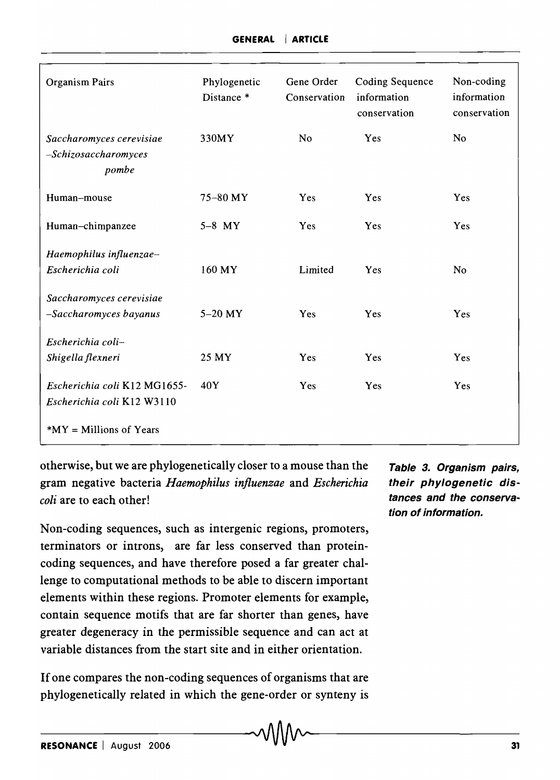| <b>Organism Pairs</b>                                       | Phylogenetic<br>Distance * | Gene Order<br>Conservation | Coding Sequence<br>information<br>conservation | Non-coding<br>information<br>conservation |
|-------------------------------------------------------------|----------------------------|----------------------------|------------------------------------------------|-------------------------------------------|
| Saccharomyces cerevisiae<br>$-Schizosaccharomyces$<br>pombe | 330MY                      | N <sub>o</sub>             | Yes                                            | N <sub>o</sub>                            |
| Human-mouse                                                 | 75-80 MY                   | Yes                        | Yes                                            | Yes                                       |
| Human-chimpanzee                                            | $5-8$ MY                   | Yes                        | Yes                                            | Yes                                       |
| Haemophilus influenzae-<br>Escherichia coli                 | 160 MY                     | Limited                    | Yes                                            | N <sub>0</sub>                            |
| Saccharomyces cerevisiae<br>-Saccharomyces bayanus          | $5-20$ MY                  | Yes                        | Yes                                            | Yes                                       |
| Escherichia coli-<br>Shigella flexneri                      | 25 MY                      | Yes                        | Yes                                            | Yes                                       |
| Escherichia coli K12 MG1655-<br>Escherichia coli K12 W3110  | 40Y                        | Yes                        | Yes                                            | Yes                                       |
| $*MY = Millions of Years$                                   |                            |                            |                                                |                                           |

otherwise, but we are phylogenetically closer to a mouse than the gram negative bacteria *Haemophilus injluenzae* and *Escherichia coli* are to each other!

Non-coding sequences, such as intergenic regions, promoters, terminators or introns, are far less conserved than proteincoding sequences, and have therefore posed a far greater challenge to computational methods to be able to discern important elements within these regions. Promoter elements for example, contain sequence motifs that are far shorter than genes, have greater degeneracy in the permissible sequence and can act at variable distances from the start site and in either orientation.

If one compares the non-coding sequences of organisms that are phylogenetically related in which the gene-order or synteny is

Table 3. Organism pairs, their phylogenetic distances and the conservation of information.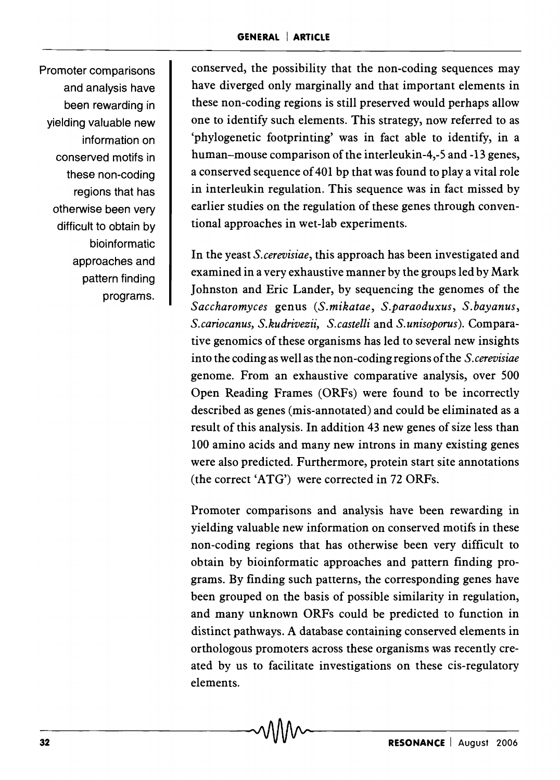Promoter comparisons and analysis have been rewarding in yielding valuable new information on conserved motifs in these non-coding regions that has otherwise been very difficult to obtain by bioinformatic approaches and pattern finding programs.

conserved, the possibility that the non-coding sequences may have diverged only marginally and that important elements in these non-coding regions is still preserved would perhaps allow one to identify such elements. This strategy, now referred to as 'phylogenetic footprinting' was in fact able to identify, in a human-mouse comparison of the interleukin-4,-S and -13 genes, a conserved sequence of 401 bp that was found to playa vital role in interleukin regulation. This sequence was in fact missed by earlier studies on the regulation of these genes through conventional approaches in wet-lab experiments.

In the yeast *S.cerevisiae,* this approach has been investigated and examined in a very exhaustive manner by the groups led by Mark Johnston and Eric Lander, by sequencing the genomes of the *Saccharomyces* genus *(S.mikatae, S.paraoduxus, S.bayanus, s.cariocanus, S.kudrivezii, S.castelli* and *S.unisoporus).* Comparative genomics of these organisms has led to several new insights into the coding as well as the non-coding regions of the *S.cerevisiae*  genome. From an exhaustive comparative analysis, over 500 Open Reading Frames (ORFs) were found to be incorrectly described as genes (mis-annotated) and could be eliminated as a result of this analysis. In addition 43 new genes of size less than 100 amino acids and many new introns in many existing genes were also predicted. Furthermore, protein start site annotations (the correct 'ATG') were corrected in 72 ORFs.

Promoter comparisons and analysis have been rewarding in yielding valuable new information on conserved motifs in these non-coding regions that has otherwise been very difficult to obtain by bioinformatic approaches and pattern finding programs. By finding such patterns, the corresponding genes have been grouped on the basis of possible similarity in regulation, and many unknown ORFs could be predicted to function in distinct pathways. A database containing conserved elements in orthologous promoters across these organisms was recently created by us to facilitate investigations on these cis-regulatory elements.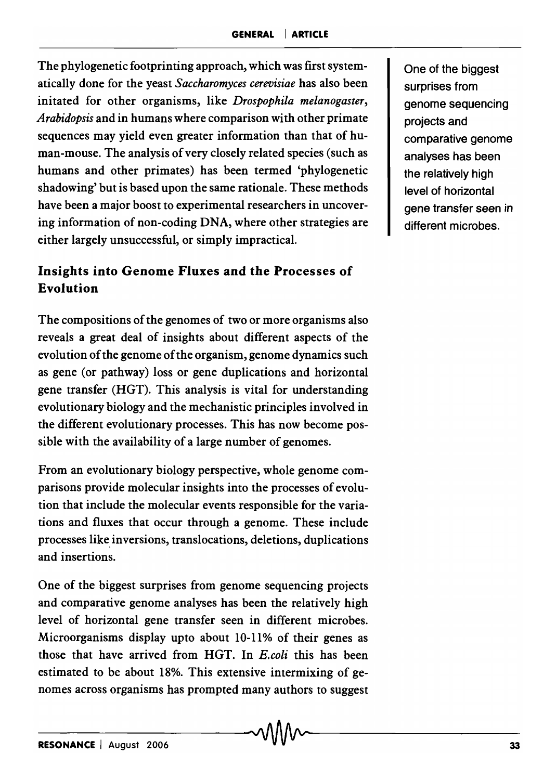The phylogenetic footprinting approach, which was first systematically done for the yeast *Saccharomyces cerevisiae* has also been initated for other organisms, like *Drospophila melanogaster, Arabidopsis* and in humans where comparison with other primate sequences may yield even greater information than that of human-mouse. The analysis of very closely related species (such as humans and other primates) has been termed 'phylogenetic shadowing' but is based upon the same rationale. These methods have been a major boost to experimental researchers in uncovering information of non-coding DNA, where other strategies are either largely unsuccessful, or simply impractical.

## Insights into Genome Fluxes and the Processes of Evolution

The compositions of the genomes of two or more organisms also reveals a great deal of insights about different aspects of the evolution of the genome of the organism, genome dynamics such as gene (or pathway) loss or gene duplications and horizontal gene transfer (HGT). This analysis is vital for understanding evolutionary biology and the mechanistic principles involved in the different evolutionary processes. This has now become possible with the availability of a large number of genomes.

From an evolutionary biology perspective, whole genome comparisons provide molecular insights into the processes of evolution that include the molecular events responsible for the variations and fluxes that occur through a genome. These include processes like inversions, translocations, deletions, duplications and insertions.

One of the biggest surprises from genome sequencing projects and comparative genome analyses has been the relatively high level of horizontal gene transfer seen in different microbes. Microorganisms display upto about 10-11% of their genes as those that have arrived from HGT. In *E.coli* this has been estimated to be about 18%. This extensive intermixing of genomes across organisms has prompted many authors to suggest

One of the biggest surprises from genome sequencing projects and comparative genome analyses has been the relatively high level of horizontal gene transfer seen in different microbes.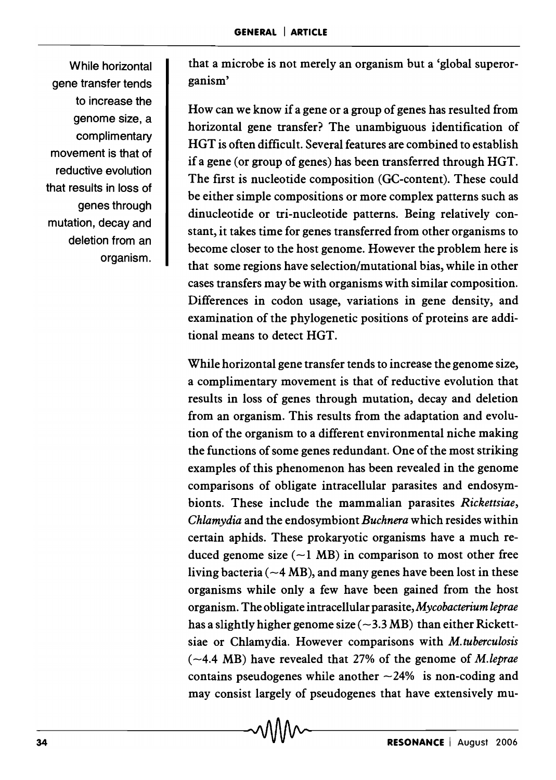While horizontal gene transfer tends to increase the genome size, a complimentary movement is that of reductive evolution that results in loss of genes through mutation, decay and deletion from an organism.

that a microbe is not merely an organism but a 'global superorganism'

How can we know if a gene or a group of genes has resulted from horizontal gene transfer? The unambiguous identification of HGT is often difficult. Several features are combined to establish if a gene (or group of genes) has been transferred through HGT. The first is nucleotide composition (GC-content). These could be either simple compositions or more complex patterns such as dinucleotide or tri-nucleotide patterns. Being relatively constant, it takes time for genes transferred from other organisms to become closer to the host genome. However the problem here is that some regions have selection/mutational bias, while in other cases transfers may be with organisms with similar composition. Differences in codon usage, variations in gene density, and examination of the phylogenetic positions of proteins are additional means to detect HGT.

While horizontal gene transfer tends to increase the genome size, a complimentary movement is that of reductive evolution that results in loss of genes through mutation, decay and deletion from an organism. This results from the adaptation and evolution of the organism to a different environmental niche making the functions of some genes redundant. One of the most striking examples of this phenomenon has been revealed in the genome comparisons of obligate intracellular parasites and endosymbionts. These include the mammalian parasites *Rickettsiae, Chlamydia* and the endosymbiont *Buchnera* which resides within certain aphids. These prokaryotic organisms have a much reduced genome size  $(-1 \text{ MB})$  in comparison to most other free living bacteria ( $\sim$ 4 MB), and many genes have been lost in these organisms while only a few have been gained from the host organism. The obligate intracellular parasite, *Mycobacterium leprae*  has a slightly higher genome size  $(-3.3 \text{ MB})$  than either Rickettsiae or Chlamydia. However comparisons with *M.tuberculosis*  (-4.4 MB) have revealed that 27% of the genome of *M.leprae*  contains pseudogenes while another  $\sim$  24% is non-coding and may consist largely of pseudogenes that have extensively mu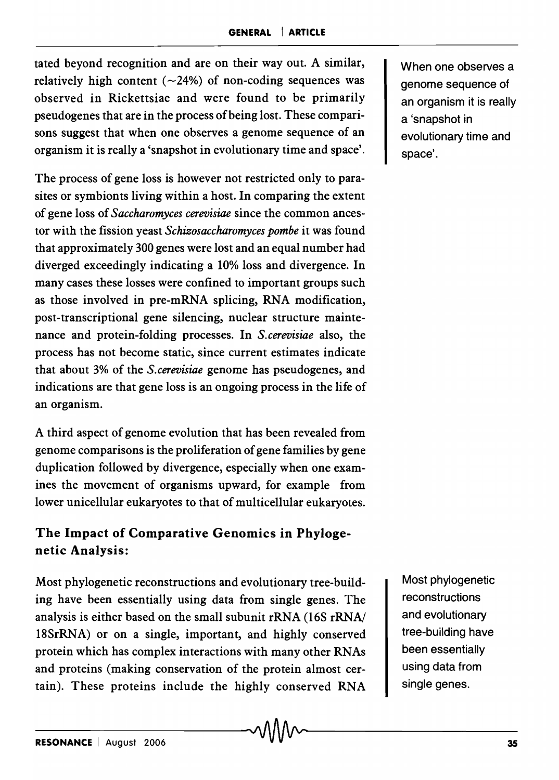tated beyond recognition and are on their way out. A similar, relatively high content  $(-24%)$  of non-coding sequences was observed in Rickettsiae and were found to be primarily pseudogenes that are in the process of being lost. These comparisons suggest that when one observes a genome sequence of an organism it is really a 'snapshot in evolutionary time and space'.

The process of gene loss is however not restricted only to parasites or symbionts living within a host. In comparing the extent of gene loss of *Saccharomyces cerevisiae* since the common ancestor with the fission yeast *Schizosaccharomyces pombe* it was found that approximately 300 genes were lost and an equal number had diverged exceedingly indicating a 10% loss and divergence. In many cases these losses were confined to important groups such as those involved in pre-mRNA splicing, RNA modification, post-transcriptional gene silencing, nuclear structure maintenance and protein-folding processes. In *S.cerevisiae* also, the process has not become static, since current estimates indicate that about 3% of the *S.cerevisiae* genome has pseudogenes, and indications are that gene loss is an ongoing process in the life of an organism.

A third aspect of genome evolution that has been revealed from genome comparisons is the proliferation of gene families by gene duplication followed by divergence, especially when one examines the movement of organisms upward, for example from lower unicellular eukaryotes to that of multicellular eukaryotes.

## The Impact of Comparative Genomics in Phylogenetic Analysis:

Most phylogenetic reconstructions and evolutionary tree-building have been essentially using data from single genes. The analysis is either based on the small subunit rRNA (l6S rRNA/ 18SrRNA) or on a single, important, and highly conserved protein which has complex interactions with many other RNAs and proteins (making conservation of the protein almost certain). These proteins include the highly conserved RNA When one observes a genome sequence of an organism it is really a 'snapshot in evolutionary time and space'.

Most phylogenetic reconstructions and evolutionary tree-building have been essentially using data from single genes.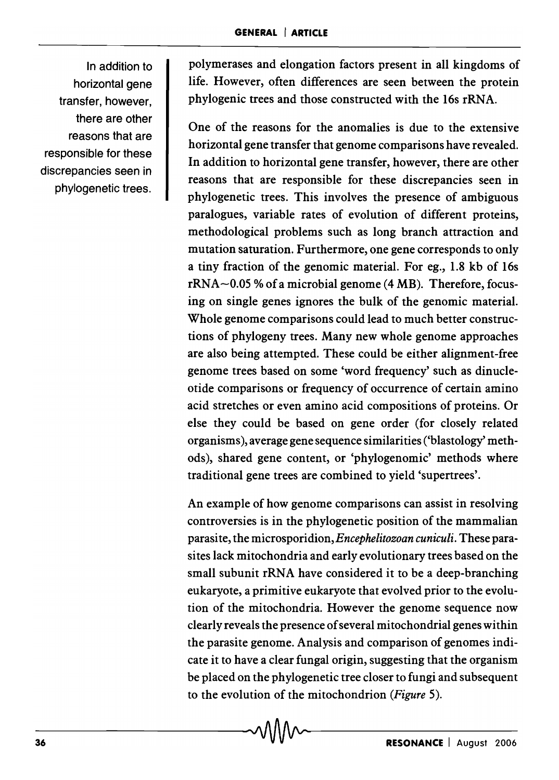In addition to horizontal gene transfer, however, there are other reasons that are responsible for these discrepancies seen in phylogenetic trees.

polymerases and elongation factors present in all kingdoms of life. However, often differences are seen between the protein phylogenie trees and those constructed with the 16s rRNA.

One of the reasons for the anomalies is due to the extensive horizontal gene transfer that genome comparisons have revealed. In addition to horizontal gene transfer, however, there are other reasons that are responsible for these discrepancies seen in phylogenetic trees. This involves the presence of ambiguous paralogues, variable rates of evolution of different proteins, methodological problems such as long branch attraction and mutation saturation. Furthermore, one gene corresponds to only a tiny fraction of the genomie material. For eg., 1.8 kb of 16s  $rRNA-0.05$  % of a microbial genome (4 MB). Therefore, focusing on single genes ignores the bulk of the genomic material. Whole genome comparisons could lead to much better constructions of phylogeny trees. Many new whole genome approaches are also being attempted. These could be either alignment-free genome trees based on some 'word frequency' such as dinucleotide comparisons or frequency of occurrence of certain amino acid stretches or even amino acid compositions of proteins. Or else they could be based on gene order (for closely related organisms), average gene sequence similarities ('blastology' methods), shared gene content, or 'phylogenomic' methods where traditional gene trees are combined to yield 'supertrees'.

An example of how genome comparisons can assist in resolving controversies is in the phylogenetic position of the mammalian parasi te, the microsporidion, *Encephelitozoan cuniculi.* These parasites lack mitochondria and early evolutionary trees based on the small subunit rRNA have considered it to be a deep-branching eukaryote, a primitive eukaryote that evolved prior to the evolution of the mitochondria. However the genome sequence now clearly reveals the presence of several mitochondrial genes within the parasite genome. Analysis and comparison of genomes indicate it to have a clear fungal origin, suggesting that the organism be placed on the phylogenetic tree closer to fungi and subsequent to the evolution of the mitochondrion *(Figure 5).*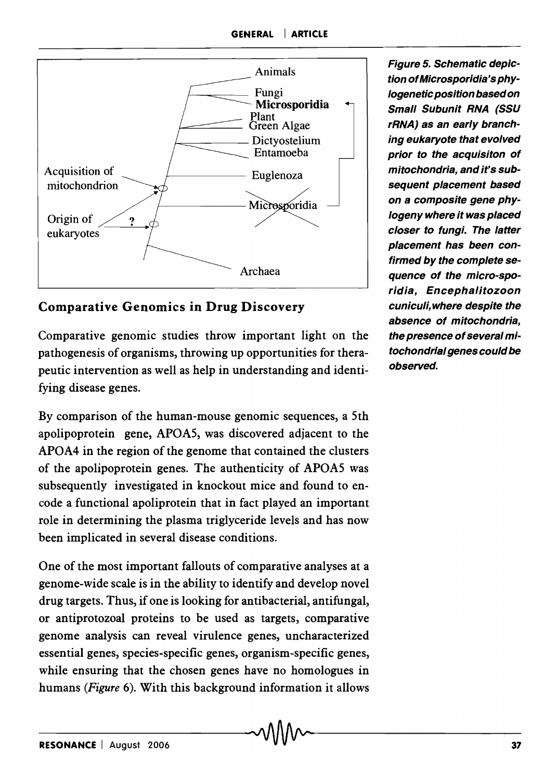

Comparative Genomics in Drug Discovery

Comparative genomic studies throw important light on the pathogenesis of organisms, throwing up opportunities for therapeutic intervention as well as help in understanding and identifying disease genes.

By comparison of the human-mouse genomic sequences, a 5th apolipoprotein gene, APOA5, was discovered adjacent to the APOA4 in the region of the genome that contained the clusters of the apolipoprotein genes. The authenticity of APOA5 was subsequently investigated in knockout mice and found to encode a functional apoliprotein that in fact played an important role in determining the plasma triglyceride levels and has now been implicated in several disease conditions.

One of the most important fallouts of comparative analyses at a genome-wide scale is in the ability to identify and develop novel drug targets. Thus, if one is looking for antibacterial, antifungal, or antiprotozoal proteins to be used as targets, comparative genome analysis can reveal virulence genes, uncharacterized essential genes, species-specific genes, organism-specific genes, while ensuring that the chosen genes have no homologues in humans *(Figure* 6). With this background information it allows

Figure 5. Schematic depiction of Microsporidia's phylogenetic position based on Small Subunit RNA (SSU rRNA) as an early branching eukaryote that evolved prior to the acquisiton of mitochondria, and it's subsequent placement based on a composite gene phylogeny where it was placed closer to fungi. The latter placement has been confirmed by the complete sequence of the micro-sporidia, Encephalitozoon cuniculi, where despite the absence of mitochondria, the presence of several mitochondrial genes could be observed.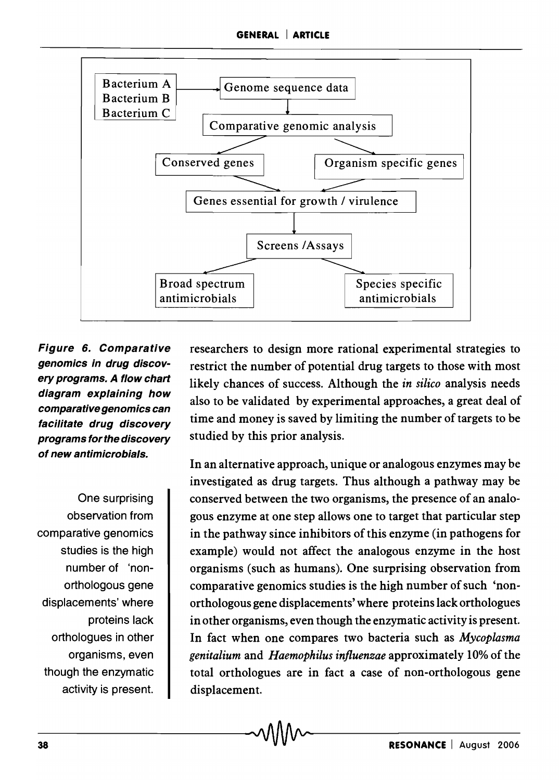

Figure 6. Comparative genomics in drug discovery programs. A flow chart diagram explaining how comparative genomics can facilitate drug discovery programs for the discovery of new antimicrobials.

One surprising observation from comparative genomics studies is the high number of 'nonorthologous gene displacements' where proteins lack orthologues in other organisms, even though the enzymatic activity is present.

researchers to design more rational experimental strategies to restrict the number of potential drug targets to those with most likely chances of success. Although the *in silico* analysis needs also to be validated by experimental approaches, a great deal of time and money is saved by limiting the number of targets to be studied by this prior analysis.

In an alternative approach, unique or analogous enzymes may be investigated as drug targets. Thus although a pathway may be conserved between the two organisms, the presence of an analogous enzyme at one step allows one to target that particular step in the pathway since inhibitors of this enzyme (in pathogens for example) would not affect the analogous enzyme in the host organisms (such as humans). One surprising observation from comparative genomics studies is the high number of such 'nonorthologous gene displacements' where proteins lack orthologues in other organisms, even though the enzymatic activity is present. In fact when one compares two bacteria such as *Mycoplasma genitalium* and *Haemophilus injluenzae* approximately 10% of the total orthologues are in fact a case of non-orthologous gene displacement.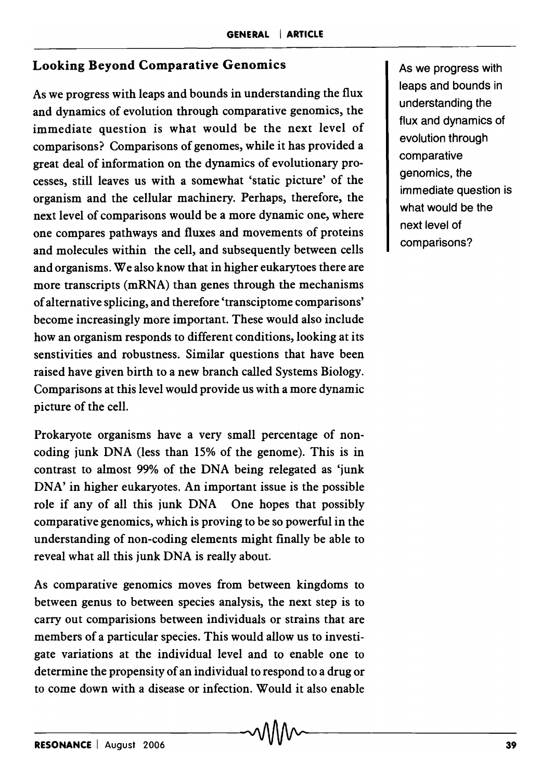#### **Looking Beyond Comparative Genomics**

As we progress with leaps and bounds in understanding the flux and dynamics of evolution through comparative genomics, the immediate question is what would be the next level of comparisons? Comparisons of genomes, while it has provided a great deal of information on the dynamics of evolutionary processes, still leaves us with a somewhat 'static picture' of the organism and the cellular machinery. Perhaps, therefore, the next level of comparisons would be a more dynamic one, where one compares pathways and fluxes and movements of proteins and molecules within the cell, and subsequently between cells and organisms. We also know that in higher eukarytoes there are more transcripts (mRNA) than genes through the mechanisms of alternative splicing, and therefore 'transciptome comparisons' become increasingly more important. These would also include how an organism responds to different conditions, looking at its senstivities and robustness. Similar questions that have been raised have given birth to a new branch called Systems Biology. Comparisons at this level would provide us with a more dynamic picture of the cell.

Prokaryote organisms have a very small percentage of noncoding junk DNA (less than 15% of the genome). This is in contrast to almost 99% of the DNA being relegated as 'junk DNA' in higher eukaryotes. An important issue is the possible role if any of all this junk DNA One hopes that possibly comparative genomics, which is proving to be so powerful in the understanding of non-coding elements might finally be able to reveal what all this junk DNA is really about.

As comparative genomics moves from between kingdoms to between genus to between species analysis, the next step is to carry out comparisions between individuals or strains that are members of a particular species. This would allow us to investigate variations at the individual level and to enable one to determine the propensity of an individual to respond to a drug or to come down with a disease or infection. Would it also enable

 $\overline{\phantom{a}}$  -referred to  $\overline{\phantom{a}}$  -referred to  $\overline{\phantom{a}}$  v  $\overline{\phantom{a}}$  v  $\overline{\phantom{a}}$  v  $\overline{\phantom{a}}$  v  $\overline{\phantom{a}}$  v  $\overline{\phantom{a}}$  v  $\overline{\phantom{a}}$  v  $\overline{\phantom{a}}$  v  $\overline{\phantom{a}}$  v  $\overline{\phantom{a}}$  v  $\overline{\phantom{a}}$  v  $\overline{\phantom{a}}$  v  $\over$ 

As we progress with leaps and bounds in understanding the flux and dynamics of evolution through comparative genomics, the immediate question is what would be the next level of comparisons?